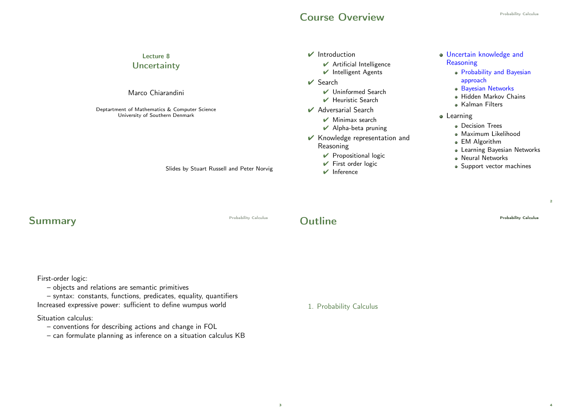## **Course Overview**

| Lecture 8<br>Uncertainty<br>Marco Chiarandini                                                                                | $\mathbf{\mathcal{V}}$ Introduction<br>$\blacktriangleright$ Artificial Intelligence<br>Intelligent Agents<br>$\vee$ Search<br>$\vee$ Uninformed Search<br>$\blacktriangleright$ Heuristic Search                                                        | o Uncertain knowledge and<br>Reasoning<br>• Probability and Bayesian<br>approach<br>· Bayesian Networks<br>· Hidden Markov Chains                                              |
|------------------------------------------------------------------------------------------------------------------------------|----------------------------------------------------------------------------------------------------------------------------------------------------------------------------------------------------------------------------------------------------------|--------------------------------------------------------------------------------------------------------------------------------------------------------------------------------|
| Deptartment of Mathematics & Computer Science<br>University of Southern Denmark<br>Slides by Stuart Russell and Peter Norvig | ✔ Adversarial Search<br>$\vee$ Minimax search<br>$\blacktriangleright$ Alpha-beta pruning<br>Knowledge representation and<br>Reasoning<br>$\triangleright$ Propositional logic<br>$\blacktriangleright$ First order logic<br>$\mathbf{\nabla}$ Inference | • Kalman Filters<br>• Learning<br>• Decision Trees<br>· Maximum Likelihood<br>• EM Algorithm<br>• Learning Bayesian Networks<br>• Neural Networks<br>• Support vector machines |
| Probability Calculus                                                                                                         | <b>Outline</b>                                                                                                                                                                                                                                           | <b>Probability Calculus</b>                                                                                                                                                    |

First-order logic:

Summary

– objects and relations are semantic primitives

– syntax: constants, functions, predicates, equality, quantifiers Increased expressive power: sufficient to define wumpus world

Situation calculus:

- conventions for describing actions and change in FOL
- can formulate planning as inference on a situation calculus KB

1. Probability Calculus

3

2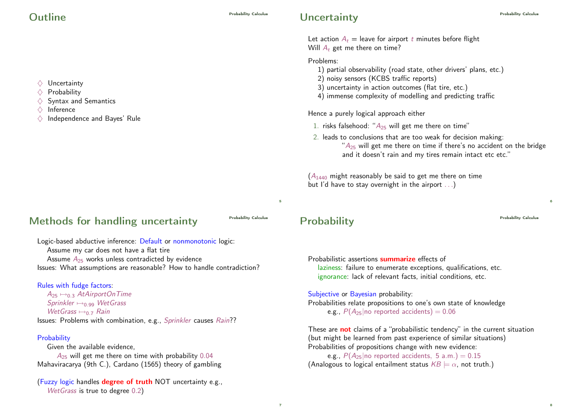$\Diamond$  Uncertainty  $\Diamond$  Probability

 $\Diamond$  Inference

 $\diamondsuit$  Syntax and Semantics

 $\diamondsuit$  Independence and Bayes' Rule

Let action  $A_t$  = leave for airport t minutes before flight Will  $A_t$  get me there on time?

Problems:

- 1) partial observability (road state, other drivers' plans, etc.)
- 2) noisy sensors (KCBS traffic reports)
- 3) uncertainty in action outcomes (flat tire, etc.)
- 4) immense complexity of modelling and predicting traffic

Hence a purely logical approach either

- 1. risks falsehood: " $A_{25}$  will get me there on time"
- 2. leads to conclusions that are too weak for decision making:  $A_{25}$  will get me there on time if there's no accident on the bridge and it doesn't rain and my tires remain intact etc etc."

 $(A<sub>1440</sub>$  might reasonably be said to get me there on time but I'd have to stay overnight in the airport . . .)

## Methods for handling uncertainty **Probability Calculus**

5

7

Logic-based abductive inference: Default or nonmonotonic logic: Assume my car does not have a flat tire Assume  $A_{25}$  works unless contradicted by evidence Issues: What assumptions are reasonable? How to handle contradiction?

### Rules with fudge factors:

 $A_{25} \mapsto_{0.3} AtAirportOnTime$ Sprinkler  $\mapsto_0$  og WetGrass WetGrass  $\mapsto$ <sub>0.7</sub> Rain Issues: Problems with combination, e.g., Sprinkler causes Rain??

### **Probability**

Given the available evidence,  $A_{25}$  will get me there on time with probability 0.04 Mahaviracarya (9th C.), Cardano (1565) theory of gambling

(Fuzzy logic handles degree of truth NOT uncertainty e.g., WetGrass is true to degree 0.2)

## Probability **Probability** Calculus Probability Calculus Probability Calculus Probability Calculus Probability Calculus Probability Calculus Probability Calculus Probability Calculus Probability Calculus Probability Calculu

6

8

Probabilistic assertions summarize effects of laziness: failure to enumerate exceptions, qualifications, etc. ignorance: lack of relevant facts, initial conditions, etc.

Subjective or Bayesian probability: Probabilities relate propositions to one's own state of knowledge e.g.,  $P(A_{25}|\text{no reported accidents}) = 0.06$ 

These are **not** claims of a "probabilistic tendency" in the current situation (but might be learned from past experience of similar situations) Probabilities of propositions change with new evidence:

e.g.,  $P(A_{25}|\text{no reported accidents}, 5 \text{ a.m.}) = 0.15$ (Analogous to logical entailment status  $KB \models \alpha$ , not truth.)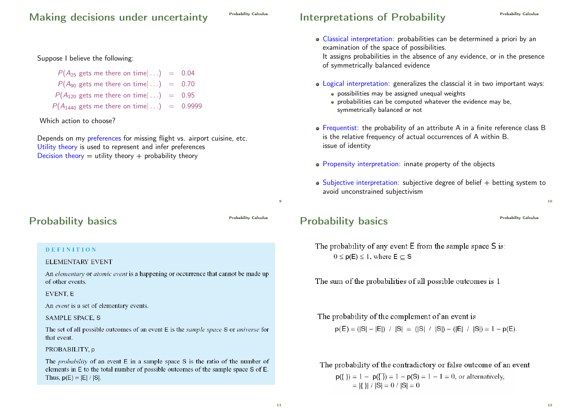## Making decisions under uncertainty

### Suppose I believe the following:

 $P(A_{25}$  gets me there on time $| \dots$  = 0.04  $P(A_{90}$  gets me there on time $| \dots$  = 0.70  $P(A_{120}$  gets me there on time $| \dots$  = 0.95  $P(A_{1440}$  gets me there on time $| \dots$  = 0.9999

Which action to choose?

Depends on my preferences for missing flight vs. airport cuisine, etc. Utility theory is used to represent and infer preferences Decision theory  $=$  utility theory  $+$  probability theory

## Probability basics **Probability Calculus**

 $\alpha$ 

### **DEFINITION**

#### **ELEMENTARY EVENT**

An *elementary* or *atomic event* is a happening or occurrence that cannot be made up of other events.

#### **EVENT.** E

An event is a set of elementary events.

#### **SAMPLE SPACE, S**

The set of all possible outcomes of an event E is the *sample space* S or *universe* for that event.

#### PROBABILITY, p

The *probability* of an event  $E$  in a sample space  $S$  is the ratio of the number of elements in E to the total number of possible outcomes of the sample space S of E. Thus,  $p(E) = |E| / |S|$ .

# Interpretations of Probability **Probability Calculus**

Classical interpretation: probabilities can be determined a priori by an examination of the space of possibilities. It assigns probabilities in the absence of any evidence, or in the presence

of symmetrically balanced evidence

- Logical interpretation: generalizes the classcial it in two important ways:
	- possibilities may be assigned unequal weights
	- probabilities can be computed whatever the evidence may be, symmetrically balanced or not
- Frequentist: the probability of an attribute A in a finite reference class B is the relative frequency of actual occurrences of A within B. issue of identity
- Propensity interpretation: innate property of the objects
- $\bullet$  Subjective interpretation: subjective degree of belief  $+$  betting system to avoid unconstrained subjectivism

## Probability basics **Probability Calculus**

The probability of any event  $E$  from the sample space  $S$  is:  $0 \le p(E) \le 1$ , where  $E \subset S$ 

The sum of the probabilities of all possible outcomes is 1

The probability of the complement of an event is

 $p(\overline{E}) = (|S| - |E|) / |S| = (|S| / |S|) - (|E| / |S|) = 1 - p(E).$ 

The probability of the contradictory or false outcome of an event  $p({\}) = 1 - p(\overline{{\})} = 1 - p(S) = 1 - 1 = 0$ , or alternatively,  $= |{} |$   $| \cdot |S| = 0 / |S| = 0$ 

12

 $10$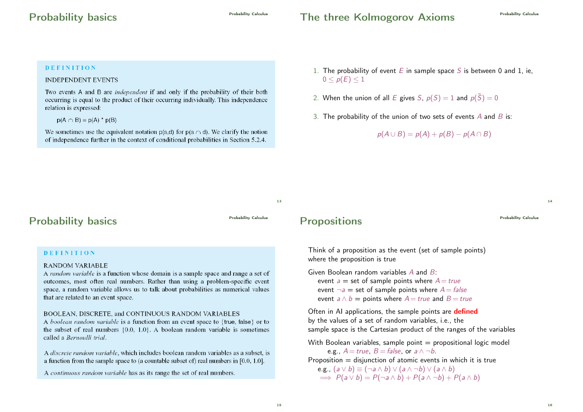## The three Kolmogorov Axioms<br>
Probability Calculus

#### **DEFINITION**

### **INDEPENDENT EVENTS**

Two events A and B are *independent* if and only if the probability of their both occurring is equal to the product of their occurring individually. This independence relation is expressed:

 $p(A \cap B) = p(A) * p(B)$ 

We sometimes use the equivalent notation  $p(s,d)$  for  $p(s \cap d)$ . We clarify the notion of independence further in the context of conditional probabilities in Section 5.2.4.

- 1. The probability of event E in sample space S is between 0 and 1, ie,  $0 \leq p(E) \leq 1$
- 2. When the union of all E gives S,  $p(S) = 1$  and  $p(\bar{S}) = 0$
- 3. The probability of the union of two sets of events  $A$  and  $B$  is:

$$
p(A \cup B) = p(A) + p(B) - p(A \cap B)
$$

13

## Probability basics **Probability Calculus**

### **DEFINITION**

#### **RANDOM VARIABLE**

A random variable is a function whose domain is a sample space and range a set of outcomes, most often real numbers. Rather than using a problem-specific event space, a random variable allows us to talk about probabilities as numerical values that are related to an event space.

#### BOOLEAN, DISCRETE, and CONTINUOUS RANDOM VARIABLES

A boolean random variable is a function from an event space to {true, talse} or to the subset of real numbers  $\{0.0, 1.0\}$ . A boolean random variable is sometimes called a Bernoulli trial.

A *discrete random variable*, which includes boolean random variables as a subset, is a function from the sample space to (a countable subset of) real numbers in  $[0.0, 1.0]$ .

A continuous random variable has as its range the set of real numbers.

## Propositions **Propositions**

Think of a proposition as the event (set of sample points) where the proposition is true

Given Boolean random variables A and B:

event  $a =$  set of sample points where  $A = true$ event  $\neg a =$  set of sample points where  $A = false$ event  $a \wedge b =$  points where  $A = true$  and  $B = true$ 

Often in AI applications, the sample points are **defined** by the values of a set of random variables, i.e., the sample space is the Cartesian product of the ranges of the variables

With Boolean variables, sample point  $=$  propositional logic model e.g.,  $A = true$ ,  $B = false$ , or  $a \wedge \neg b$ . Proposition  $=$  disjunction of atomic events in which it is true e.g.,  $(a \vee b) \equiv (\neg a \wedge b) \vee (a \wedge \neg b) \vee (a \wedge b)$  $\implies P(a \vee b) = P(\neg a \wedge b) + P(a \wedge \neg b) + P(a \wedge b)$ 

 $\overline{14}$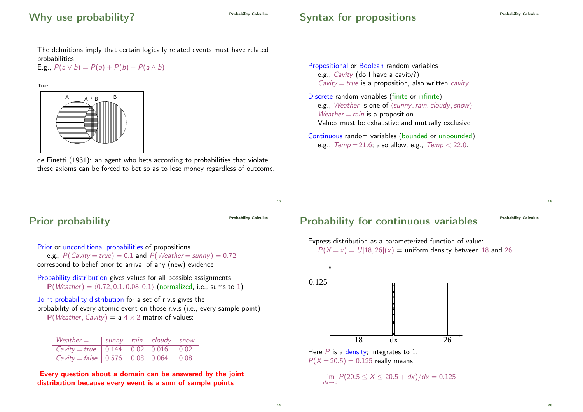# Why use probability?

# Syntax for propositions

Propositional or Boolean random variables e.g., Cavity (do I have a cavity?)

Discrete random variables (finite or infinite)

 $Weather = rain$  is a proposition

 $Cavity = true$  is a proposition, also written *cavity* 

e.g., Weather is one of  $\langle$  sunny, rain, cloudy, snow)

Values must be exhaustive and mutually exclusive Continuous random variables (bounded or unbounded) e.g.,  $Temp = 21.6$ ; also allow, e.g.,  $Temp < 22.0$ .

The definitions imply that certain logically related events must have related probabilities

E.g.,  $P(a \vee b) = P(a) + P(b) - P(a \wedge b)$ 

**True** 



de Finetti (1931): an agent who bets according to probabilities that violate these axioms can be forced to bet so as to lose money regardless of outcome.

# Prior probability **Probability** Calculus Probability Calculus

17

Prior or unconditional probabilities of propositions e.g.,  $P(Cavity = true) = 0.1$  and  $P(Weather = sunny) = 0.72$ correspond to belief prior to arrival of any (new) evidence

Probability distribution gives values for all possible assignments:  $P(Weather) = (0.72, 0.1, 0.08, 0.1)$  (normalized, i.e., sums to 1)

Joint probability distribution for a set of r.v.s gives the probability of every atomic event on those r.v.s (i.e., every sample point)  $P(Weather, Cavity) = a 4 \times 2$  matrix of values:

| Weather $=$ sunny rain cloudy snow                             |  |  |
|----------------------------------------------------------------|--|--|
| Cavity = true $\vert 0.144 \vert 0.02 \vert 0.016 \vert 0.02$  |  |  |
| Cavity = false $\vert 0.576 \vert 0.08 \vert 0.064 \vert 0.08$ |  |  |

Every question about a domain can be answered by the joint distribution because every event is a sum of sample points

# Probability for continuous variables **Probability Calculus**

18

Express distribution as a parameterized function of value:  $P(X = x) = U[18, 26](x) =$  uniform density between 18 and 26



 $P(X = 20.5) = 0.125$  really means

lim  $\lim_{dx\to 0} P(20.5 \le X \le 20.5 + dx)/dx = 0.125$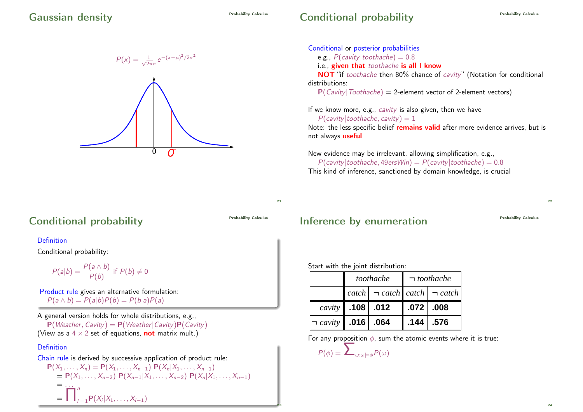# Conditional probability **Conditional**



### Conditional or posterior probabilities e.g.,  $P(cavity | toothache) = 0.8$ i.e., given that toothache is all I know NOT "if toothache then 80% chance of cavity" (Notation for conditional distributions:

 $P(Cavity | Toothache) = 2$ -element vector of 2-element vectors)

If we know more, e.g., cavity is also given, then we have  $P(cavity | toothache, cavity) = 1$ Note: the less specific belief remains valid after more evidence arrives, but is not always **useful** 

New evidence may be irrelevant, allowing simplification, e.g.,  $P(cavity | toothache, 49ersWin) = P(cavity | toothache) = 0.8$ This kind of inference, sanctioned by domain knowledge, is crucial

21

23

## Conditional probability **Conditional**

### Definition

Conditional probability:

$$
P(a|b) = \frac{P(a \wedge b)}{P(b)}
$$
 if  $P(b) \neq 0$ 

Product rule gives an alternative formulation:  $P(a \wedge b) = P(a|b)P(b) = P(b|a)P(a)$ 

A general version holds for whole distributions, e.g.,  $P(Weather, Cavity) = P(Weather|Cavity)P(Cavity)$ (View as a  $4 \times 2$  set of equations, **not** matrix mult.)

### Definition

Chain rule is derived by successive application of product rule:  $P(X_1, \ldots, X_n) = P(X_1, \ldots, X_{n-1}) P(X_n | X_1, \ldots, X_{n-1})$  $= P(X_1, \ldots, X_{n-2}) P(X_{n-1}|X_1, \ldots, X_{n-2}) P(X_n|X_1, \ldots, X_{n-1})$  $=$  . . .  $=$   $\Box$ n  $i = 1$ **P** $(X_i | X_1, \ldots, X_{i-1})$ 

## Inference by enumeration **Probability Calculus**

 $22$ 

### Start with the joint distribution:

|                          | toothache |                                                           | $\neg$ toothache |              |
|--------------------------|-----------|-----------------------------------------------------------|------------------|--------------|
|                          |           | catch $\vert \neg$ catch $\vert$ catch $\vert \neg$ catch |                  |              |
| <i>cavity</i> 108   .012 |           |                                                           |                  | $.072$ . 008 |
|                          |           |                                                           |                  |              |

For any proposition  $\phi$ , sum the atomic events where it is true:  $P(\phi) = \sum_{\omega:\omega=\phi} P(\omega)$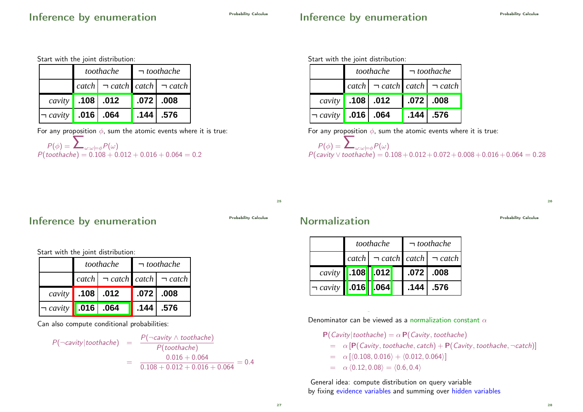# Inference by enumeration

# Inference by enumeration

Start with the joint distribution:

|                                                         | toothache |              | $\neg$ toothache |                                                                                      |
|---------------------------------------------------------|-----------|--------------|------------------|--------------------------------------------------------------------------------------|
|                                                         |           |              |                  | $\lceil \c{catch} \rceil \rceil$ $\lceil \c{catch} \rceil$ $\lceil \c{catch} \rceil$ |
| $\left\langle \textit{cavity}\right\rangle$ .108   .012 |           |              |                  | $.072$ $.008$                                                                        |
| $\neg$ cavity                                           |           | $.016$ . 064 | .144             | .576                                                                                 |

For any proposition  $\phi$ , sum the atomic events where it is true:

$$
P(\phi) = \sum_{\omega:\omega\models \phi} P(\omega)
$$
  
 
$$
P(toothache) = 0.108 + 0.012 + 0.016 + 0.064 = 0.2
$$

Start with the joint distribution:

|                             | toothache                                                                 |                                        | $\neg$ toothache |               |
|-----------------------------|---------------------------------------------------------------------------|----------------------------------------|------------------|---------------|
|                             | $\vert \ncatch \vert \neg \ncatch \vert \ncatch \vert \neg \ncatch \vert$ |                                        |                  |               |
|                             |                                                                           | <i>cavity</i> 108   .012   .072   .008 |                  |               |
| $\neg$ cavity   .016   .064 |                                                                           |                                        |                  | $.144$ $.576$ |

For any proposition  $\phi$ , sum the atomic events where it is true:

$$
P(\phi) = \sum_{\omega:\omega\models\phi} P(\omega)
$$
  
 
$$
P(cavity \lor toothache) = 0.108 + 0.012 + 0.072 + 0.008 + 0.016 + 0.064 = 0.28
$$

 $25$ 

Inference by enumeration **Probability Calculus** 

Start with the joint distribution:

|                                           | toothache |                                                           | $\neg$ toothache |               |
|-------------------------------------------|-----------|-----------------------------------------------------------|------------------|---------------|
|                                           |           | catch $\vert \neg$ catch $\vert$ catch $\vert \neg$ catch |                  |               |
| $\vert \textit{cavity} \vert$ .108   .012 |           |                                                           |                  | $.072$ $.008$ |
| $\neg$ cavity <b>1.016</b>   .064         |           |                                                           | .144             | .576          |

Can also compute conditional probabilities:

 $P(\neg \textit{cavity} | \textit{toothache}) =$  $\frac{P(\neg cavity \wedge toothache)}{P(toothache)}$ =  $0.016 + 0.064$  $\frac{0.018 + 0.012 + 0.016 + 0.064}{0.108 + 0.012 + 0.016 + 0.064} = 0.4$ 

## Normalization **Probability Calculus**

|                                        | toothache |  | $\neg$ toothache |      |                                                           |
|----------------------------------------|-----------|--|------------------|------|-----------------------------------------------------------|
|                                        |           |  |                  |      | catch $\vert \neg$ catch $\vert$ catch $\vert \neg$ catch |
| $\langle cavity \mid$ 108 $\vert$ .012 |           |  |                  |      | $.072$ $.008$                                             |
| $\neg$ cavity   .016   .064            |           |  |                  | .144 | .576                                                      |

Denominator can be viewed as a normalization constant  $\alpha$ 

$$
P(Cavity | toothache) = \alpha P(Cavity, toothache)
$$

$$
= \alpha \left[ P(Cavity, toothache, catch) + P(Cavity, toothache, \neg catch) \right]
$$

$$
= \alpha [(0.108, 0.016) + (0.012, 0.064)]
$$

$$
= \alpha \langle 0.12, 0.08 \rangle = \langle 0.6, 0.4 \rangle
$$

General idea: compute distribution on query variable by fixing evidence variables and summing over hidden variables

28

26